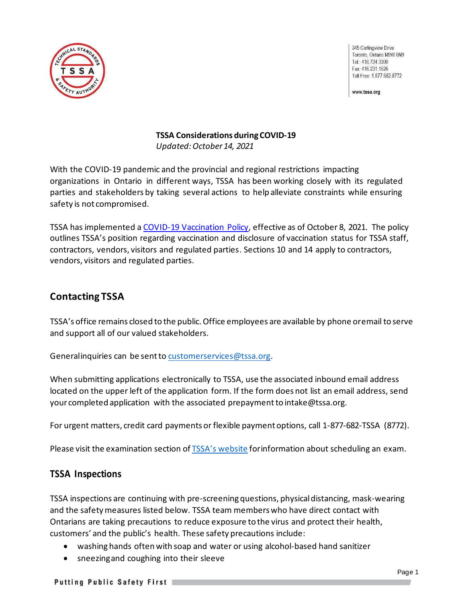

345 Carlingview Drive Toronto, Ontario M9W 6N9 Tel.: 416.734.3300 Fax: 416.231.1626 Toll Free: 1.877.682.8772

www.tssa.org

### **TSSA Considerations duringCOVID-19** *Updated:October 14, 2021*

With the COVID-19 pandemic and the provincial and regional restrictions impacting organizations in Ontario in different ways, TSSA has been working closely with its regulated parties and stakeholders by taking several actions to help alleviate constraints while ensuring safety is not compromised.

TSSA has implemented a [COVID-19 Vaccination Policy,](https://www.tssa.org/en/about-tssa/resources/TSSA-Vaccination-Policy---October-2021-v2.0.pdf) effective as of October 8, 2021. The policy outlines TSSA's position regarding vaccination and disclosure of vaccination status for TSSA staff, contractors, vendors, visitors and regulated parties. Sections 10 and 14 apply to contractors, vendors, visitors and regulated parties.

# **Contacting TSSA**

TSSA's office remains closed to the public.Office employees are available by phone oremail to serve and support all of our valued stakeholders.

Generalinquiries can be sent to [customerservices@tssa.org.](mailto:customerservices@tssa.org)

When submitting applications electronically to TSSA, use the associated inbound email address located on the upper left of the application form. If the form does not list an email address, send your completed application with the associated prepaymentto [intake@tssa.org.](mailto:intake@tssa.org)

For urgent matters, credit card payments or flexible payment options, call 1-877-682-TSSA (8772).

Please visit the examination section of TSSA's [website](https://www.tssa.org/en/ski-lifts/register-for-an-exam.aspx) for information about scheduling an exam.

## **TSSA Inspections**

TSSA inspections are continuing with pre-screening questions, physicaldistancing, mask-wearing and the safety measures listed below. TSSA team members who have direct contact with Ontarians are taking precautions to reduce exposure to the virus and protect their health, customers' and the public's health. These safety precautions include:

- washing hands often with soap and water or using alcohol-based hand sanitizer
- sneezingand coughing into their sleeve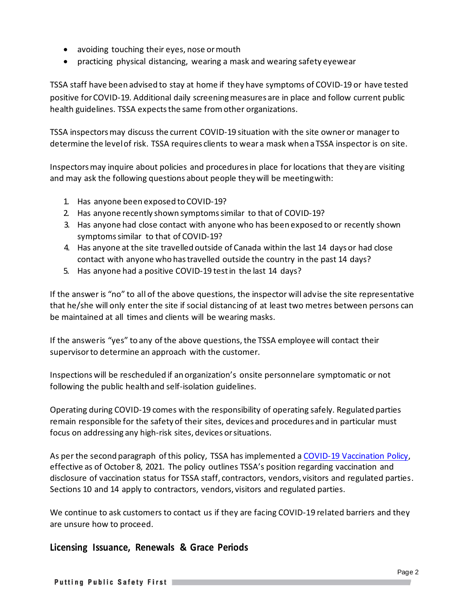- avoiding touching their eyes, nose ormouth
- practicing physical distancing, wearing a mask and wearing safety eyewear

TSSA staff have been advised to stay at home if they have symptoms of COVID-19 or have tested positive for COVID-19. Additional daily screening measures are in place and follow current public health guidelines. TSSA expects the same from other organizations.

TSSA inspectors may discuss the current COVID-19 situation with the site owner or manager to determine the levelof risk. TSSA requires clients to wear a mask when a TSSA inspector is on site.

Inspectors may inquire about policies and procedures in place for locations that they are visiting and may ask the following questions about people they will be meetingwith:

- 1. Has anyone been exposed to COVID-19?
- 2. Has anyone recently shown symptomssimilar to that of COVID-19?
- 3. Has anyone had close contact with anyone who has been exposed to or recently shown symptomssimilar to that of COVID-19?
- 4. Has anyone at the site travelled outside of Canada within the last 14 days or had close contact with anyone who hastravelled outside the country in the past 14 days?
- 5. Has anyone had a positive COVID-19 testin the last 14 days?

If the answer is "no" to all of the above questions, the inspector will advise the site representative that he/she will only enter the site if social distancing of at least two metres between persons can be maintained at all times and clients will be wearing masks.

If the answeris "yes" to any of the above questions, the TSSA employee will contact their supervisorto determine an approach with the customer.

Inspections will be rescheduled if an organization's onsite personnelare symptomatic or not following the public health and self-isolation guidelines.

Operating during COVID-19 comes with the responsibility of operating safely. Regulated parties remain responsible for the safety of their sites, devices and procedures and in particular must focus on addressing any high-risk sites, devices orsituations.

As per the second paragraph of this policy, TSSA has implemented a [COVID-19 Vaccination Policy,](https://www.tssa.org/en/about-tssa/resources/TSSA-Vaccination-Policy---October-2021-v2.0.pdf) effective as of October 8, 2021. The policy outlines TSSA's position regarding vaccination and disclosure of vaccination status for TSSA staff, contractors, vendors, visitors and regulated parties. Sections 10 and 14 apply to contractors, vendors, visitors and regulated parties.

We continue to ask customers to contact us if they are facing COVID-19 related barriers and they are unsure how to proceed.

## **Licensing Issuance, Renewals & Grace Periods**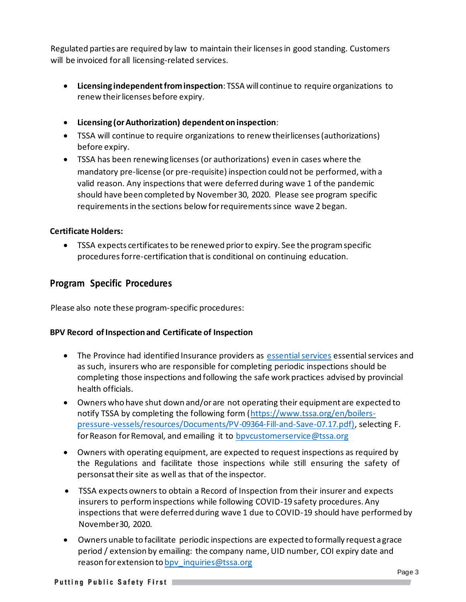Regulated parties are required by law to maintain their licensesin good standing. Customers will be invoiced forall licensing-related services.

- **Licensing independentfrominspection**: TSSA willcontinue to require organizations to renew their licenses before expiry.
- **Licensing (orAuthorization) dependentoninspection**:
- TSSA will continue to require organizations to renew theirlicenses (authorizations) before expiry.
- TSSA has been renewing licenses (or authorizations) even in cases where the mandatory pre-license (or pre-requisite) inspection could not be performed, with a valid reason. Any inspections that were deferred during wave 1 of the pandemic should have been completed by November 30, 2020. Please see program specific requirementsin the sections below forrequirementssince wave 2 began.

## **Certificate Holders:**

• TSSA expects certificatesto be renewed priorto expiry. See the programspecific proceduresforre-certification thatis conditional on continuing education.

## **Program Specific Procedures**

Please also note these program-specific procedures:

## **BPV Record ofInspection and Certificate of Inspection**

- The Province had identified Insurance providers as [essential services](https://www.ontario.ca/page/list-essential-workplaces) essential services and as such, insurers who are responsible for completing periodic inspections should be completing those inspections and following the safe work practices advised by provincial health officials.
- Owners who have shut down and/or are not operating their equipment are expected to notify TSSA by completing the following form [\(https://www.tssa.org/en/boilers](https://www.tssa.org/en/boilers-pressure-vessels/resources/Documents/PV-09364-Fill-and-Save-07.17.pdf))[pressure-vessels/resources/Documents/PV-09364-Fill-and-Save-07.17.pdf\),](https://www.tssa.org/en/boilers-pressure-vessels/resources/Documents/PV-09364-Fill-and-Save-07.17.pdf)) selecting F. for Reason for Removal, and emailing it to bpycustomerservice@tssa.org
- Owners with operating equipment, are expected to request inspections as required by the Regulations and facilitate those inspections while still ensuring the safety of personsat their site as well as that of the inspector.
- TSSA expects owners to obtain a Record of Inspection from their insurer and expects insurers to perform inspections while following COVID-19 safety procedures. Any inspections that were deferred during wave 1 due to COVID-19 should have performed by November30, 2020.
- Owners unable to facilitate periodic inspections are expected to formally request a grace period / extension by emailing: the company name, UID number, COI expiry date and reason for extension to bpv inquiries@tssa.org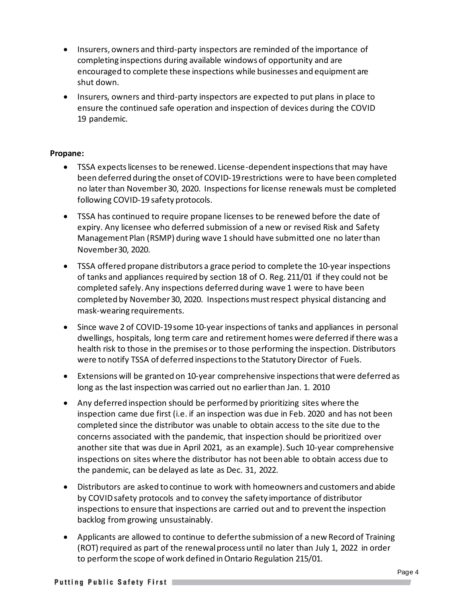- Insurers, owners and third-party inspectors are reminded of the importance of completing inspections during available windows of opportunity and are encouraged to complete these inspections while businesses and equipment are shut down.
- Insurers, owners and third-party inspectors are expected to put plans in place to ensure the continued safe operation and inspection of devices during the COVID 19 pandemic.

### **Propane:**

- TSSA expects licenses to be renewed. License-dependent inspections that may have been deferred during the onset of COVID-19restrictions were to have been completed no later than November 30, 2020. Inspections for license renewals must be completed following COVID-19 safety protocols.
- TSSA has continued to require propane licenses to be renewed before the date of expiry. Any licensee who deferred submission of a new or revised Risk and Safety Management Plan (RSMP) during wave 1 should have submitted one no laterthan November30, 2020.
- TSSA offered propane distributors a grace period to complete the 10-year inspections of tanks and appliances required by section 18 of O. Reg. 211/01 if they could not be completed safely. Any inspections deferred during wave 1 were to have been completed by November 30, 2020. Inspections must respect physical distancing and mask-wearing requirements.
- Since wave 2 of COVID-19 some 10-year inspections of tanks and appliances in personal dwellings, hospitals, long term care and retirement homes were deferred if there was a health risk to those in the premises or to those performing the inspection. Distributors were to notify TSSA of deferred inspections to the Statutory Director of Fuels.
- Extensions will be granted on 10-year comprehensive inspections that were deferred as long as the last inspection was carried out no earlierthan Jan. 1. 2010
- Any deferred inspection should be performed by prioritizing sites where the inspection came due first (i.e. if an inspection was due in Feb. 2020 and has not been completed since the distributor was unable to obtain access to the site due to the concerns associated with the pandemic, that inspection should be prioritized over another site that was due in April 2021, as an example). Such 10-year comprehensive inspections on sites where the distributor has not been able to obtain access due to the pandemic, can be delayed as late as Dec. 31, 2022.
- Distributors are asked to continue to work with homeowners and customers and abide by COVID safety protocols and to convey the safety importance of distributor inspections to ensure that inspections are carried out and to prevent the inspection backlog fromgrowing unsustainably.
- Applicants are allowed to continue to deferthe submission of a new Record of Training (ROT) required as part of the renewal process until no later than July 1, 2022 in order to performthe scope of work defined inOntario Regulation 215/01.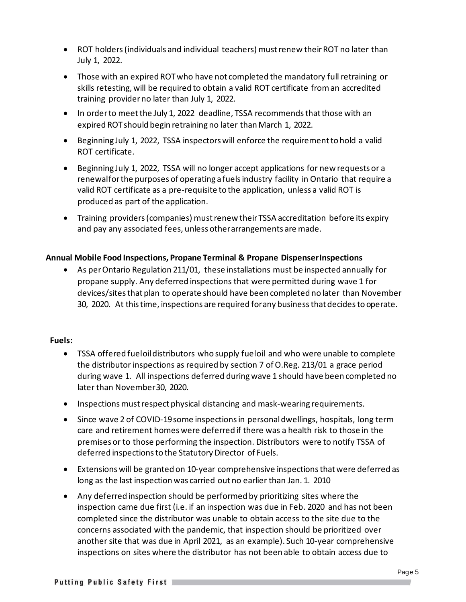- ROT holders (individuals and individual teachers) must renew their ROT no later than July 1, 2022.
- Those with an expired ROT who have not completed the mandatory full retraining or skills retesting, will be required to obtain a valid ROT certificate from an accredited training providerno later than July 1, 2022.
- In order to meet the July 1, 2022 deadline, TSSA recommends that those with an expired ROTshould begin retraining no later than March 1, 2022.
- Beginning July 1, 2022, TSSA inspectors will enforce the requirement to hold a valid ROT certificate.
- Beginning July 1, 2022, TSSA will no longer accept applications for new requests or a renewalforthe purposes of operating a fuelsindustry facility in Ontario that require a valid ROT certificate as a pre-requisite to the application, unless a valid ROT is produced as part of the application.
- Training providers(companies) mustrenew their TSSA accreditation before its expiry and pay any associated fees, unless otherarrangements are made.

## **Annual Mobile FoodInspections, Propane Terminal & Propane DispenserInspections**

• As per Ontario Regulation 211/01, these installations must be inspected annually for propane supply. Any deferred inspections that were permitted during wave 1 for devices/sitesthat plan to operate should have been completed no later than November 30, 2020. At thistime, inspections are required forany businessthat decidesto operate.

### **Fuels:**

- TSSA offered fueloil distributors who supply fueloil and who were unable to complete the distributor inspections as required by section 7 of O.Reg. 213/01 a grace period during wave 1. All inspections deferred duringwave 1 should have been completed no later than November30, 2020.
- Inspections must respect physical distancing and mask-wearing requirements.
- Since wave 2 of COVID-19 some inspections in personal dwellings, hospitals, long term care and retirement homes were deferred if there was a health risk to those in the premises or to those performing the inspection. Distributors were to notify TSSA of deferred inspectionsto the Statutory Director of Fuels.
- Extensions will be granted on 10-year comprehensive inspections that were deferred as long as the last inspection was carried out no earlier than Jan. 1. 2010
- Any deferred inspection should be performed by prioritizing sites where the inspection came due first (i.e. if an inspection was due in Feb. 2020 and has not been completed since the distributor was unable to obtain access to the site due to the concerns associated with the pandemic, that inspection should be prioritized over another site that was due in April 2021, as an example). Such 10-year comprehensive inspections on sites where the distributor has not been able to obtain access due to